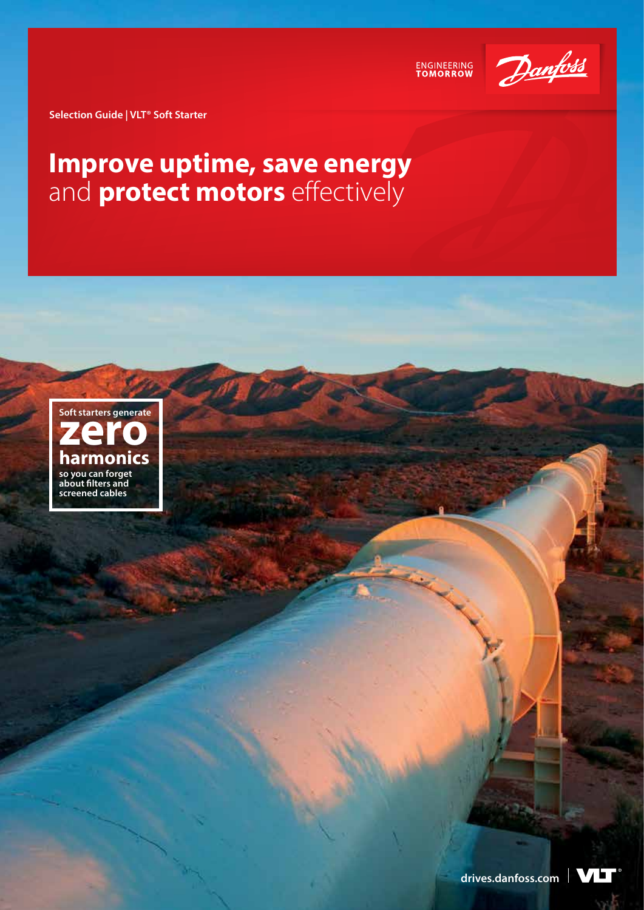

ENGINEERING<br>TOMORROW

**Selection Guide | VLT® Soft Starter**

## **Improve uptime, save energy**  and **protect motors** effectively



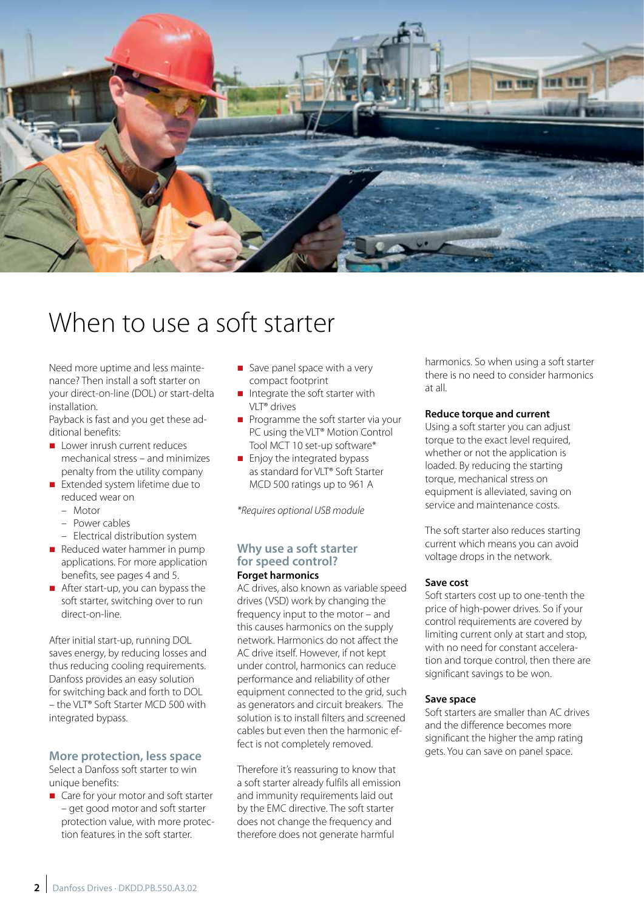

# When to use a soft starter

Need more uptime and less maintenance? Then install a soft starter on your direct-on-line (DOL) or start-delta installation.

Payback is fast and you get these additional benefits:

- $\blacksquare$  Lower inrush current reduces mechanical stress – and minimizes penalty from the utility company
- Extended system lifetime due to reduced wear on
	- Motor
	- Power cables
	- Electrical distribution system
- $\blacksquare$  Reduced water hammer in pump applications. For more application benefits, see pages 4 and 5.
- $\blacksquare$  After start-up, you can bypass the soft starter, switching over to run direct-on-line.

After initial start-up, running DOL saves energy, by reducing losses and thus reducing cooling requirements. Danfoss provides an easy solution for switching back and forth to DOL – the VLT® Soft Starter MCD 500 with integrated bypass.

## **More protection, less space**

Select a Danfoss soft starter to win unique benefits:

■ Care for your motor and soft starter – get good motor and soft starter protection value, with more protection features in the soft starter.

- $\blacksquare$  Save panel space with a very compact footprint
- $\blacksquare$  Integrate the soft starter with VLT® drives
- $\blacksquare$  Programme the soft starter via your PC using the VLT<sup>®</sup> Motion Control Tool MCT 10 set-up software\*
- $\blacksquare$  Enjoy the integrated bypass as standard for VLT® Soft Starter MCD 500 ratings up to 961 A

*\*Requires optional USB module*

#### **Why use a soft starter for speed control? Forget harmonics**

AC drives, also known as variable speed drives (VSD) work by changing the frequency input to the motor – and this causes harmonics on the supply network. Harmonics do not affect the AC drive itself. However, if not kept under control, harmonics can reduce performance and reliability of other equipment connected to the grid, such as generators and circuit breakers. The solution is to install filters and screened cables but even then the harmonic effect is not completely removed.

Therefore it's reassuring to know that a soft starter already fulfils all emission and immunity requirements laid out by the EMC directive. The soft starter does not change the frequency and therefore does not generate harmful

harmonics. So when using a soft starter there is no need to consider harmonics at all.

### **Reduce torque and current**

Using a soft starter you can adjust torque to the exact level required, whether or not the application is loaded. By reducing the starting torque, mechanical stress on equipment is alleviated, saving on service and maintenance costs.

The soft starter also reduces starting current which means you can avoid voltage drops in the network.

### **Save cost**

Soft starters cost up to one-tenth the price of high-power drives. So if your control requirements are covered by limiting current only at start and stop, with no need for constant acceleration and torque control, then there are significant savings to be won.

### **Save space**

Soft starters are smaller than AC drives and the difference becomes more significant the higher the amp rating gets. You can save on panel space.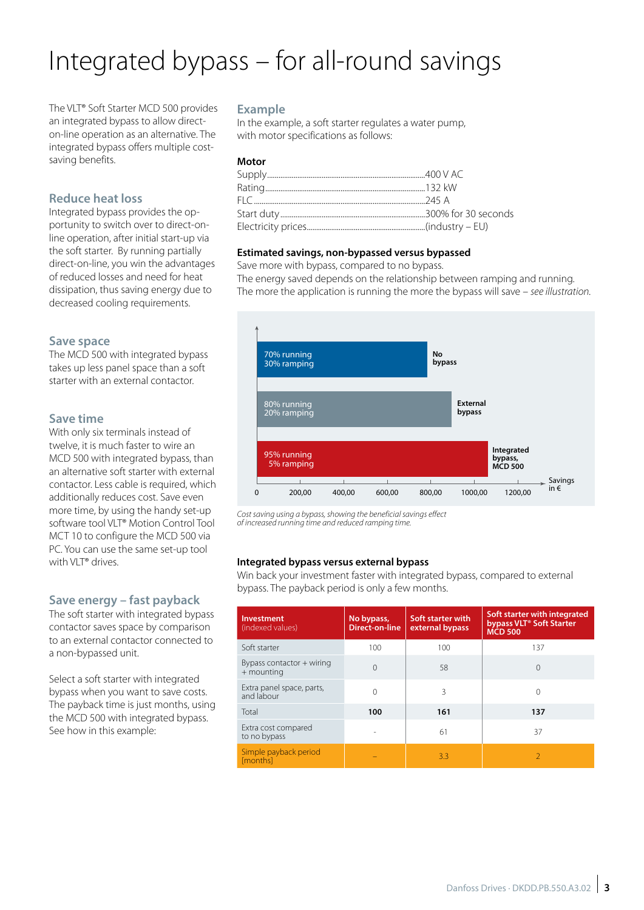# Integrated bypass – for all-round savings

The VLT® Soft Starter MCD 500 provides an integrated bypass to allow directon-line operation as an alternative. The integrated bypass offers multiple costsaving benefits.

## **Reduce heat loss**

Integrated bypass provides the opportunity to switch over to direct-online operation, after initial start-up via the soft starter. By running partially direct-on-line, you win the advantages of reduced losses and need for heat dissipation, thus saving energy due to decreased cooling requirements.

### **Save space**

The MCD 500 with integrated bypass takes up less panel space than a soft starter with an external contactor.

## **Save time**

With only six terminals instead of twelve, it is much faster to wire an MCD 500 with integrated bypass, than an alternative soft starter with external contactor. Less cable is required, which additionally reduces cost. Save even more time, by using the handy set-up software tool VLT® Motion Control Tool MCT 10 to configure the MCD 500 via PC. You can use the same set-up tool with VLT® drives.

## **Save energy – fast payback**

The soft starter with integrated bypass contactor saves space by comparison to an external contactor connected to a non-bypassed unit.

Select a soft starter with integrated bypass when you want to save costs. The payback time is just months, using the MCD 500 with integrated bypass. See how in this example:

## **Example**

In the example, a soft starter regulates a water pump, with motor specifications as follows:

## **Motor**

## **Estimated savings, non-bypassed versus bypassed**

Save more with bypass, compared to no bypass.

The energy saved depends on the relationship between ramping and running. The more the application is running the more the bypass will save – *see illustration.* 



*Cost saving using a bypass, showing the beneficial savings effect of increased running time and reduced ramping time.*

### **Integrated bypass versus external bypass**

Win back your investment faster with integrated bypass, compared to external bypass. The payback period is only a few months.

| <b>Investment</b><br>(indexed values)     | No bypass,<br><b>Direct-on-line</b> | Soft starter with<br>external bypass | Soft starter with integrated<br>bypass VLT <sup>®</sup> Soft Starter<br><b>MCD 500</b> |
|-------------------------------------------|-------------------------------------|--------------------------------------|----------------------------------------------------------------------------------------|
| Soft starter                              | 100                                 | 100                                  | 137                                                                                    |
| Bypass contactor + wiring<br>$+$ mounting | $\Omega$                            | 58                                   | $\Omega$                                                                               |
| Extra panel space, parts,<br>and labour   | 0                                   | 3                                    |                                                                                        |
| Total                                     | 100                                 | 161                                  | 137                                                                                    |
| Extra cost compared<br>to no bypass       |                                     | 61                                   | 37                                                                                     |
| Simple payback period<br><b>Imonthsl</b>  |                                     | 3.3                                  |                                                                                        |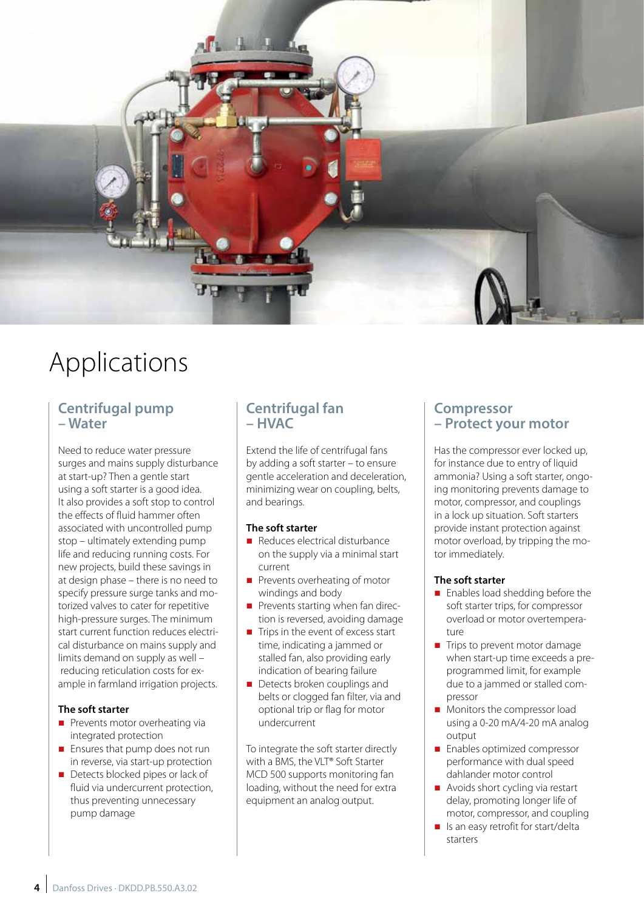

# Applications

## **Centrifugal pump – Water**

Need to reduce water pressure surges and mains supply disturbance at start-up? Then a gentle start using a soft starter is a good idea. It also provides a soft stop to control the effects of fluid hammer often associated with uncontrolled pump stop – ultimately extending pump life and reducing running costs. For new projects, build these savings in at design phase – there is no need to specify pressure surge tanks and motorized valves to cater for repetitive high-pressure surges. The minimum start current function reduces electrical disturbance on mains supply and limits demand on supply as well – reducing reticulation costs for example in farmland irrigation projects.

## **The soft starter**

- $\blacksquare$  Prevents motor overheating via integrated protection
- $\blacksquare$  Ensures that pump does not run in reverse, via start-up protection
- Detects blocked pipes or lack of fluid via undercurrent protection, thus preventing unnecessary pump damage

## **Centrifugal fan – HVAC**

Extend the life of centrifugal fans by adding a soft starter – to ensure gentle acceleration and deceleration, minimizing wear on coupling, belts, and bearings.

## **The soft starter**

- n Reduces electrical disturbance on the supply via a minimal start current
- $\blacksquare$  Prevents overheating of motor windings and body
- $\blacksquare$  Prevents starting when fan direction is reversed, avoiding damage
- $\blacksquare$  Trips in the event of excess start time, indicating a jammed or stalled fan, also providing early indication of bearing failure
- $\blacksquare$  Detects broken couplings and belts or clogged fan filter, via and optional trip or flag for motor undercurrent

To integrate the soft starter directly with a BMS, the VLT® Soft Starter MCD 500 supports monitoring fan loading, without the need for extra equipment an analog output.

## **Compressor – Protect your motor**

Has the compressor ever locked up, for instance due to entry of liquid ammonia? Using a soft starter, ongoing monitoring prevents damage to motor, compressor, and couplings in a lock up situation. Soft starters provide instant protection against motor overload, by tripping the motor immediately.

## **The soft starter**

- Enables load shedding before the soft starter trips, for compressor overload or motor overtemperature
- Trips to prevent motor damage when start-up time exceeds a preprogrammed limit, for example due to a jammed or stalled compressor
- Monitors the compressor load using a 0-20 mA/4-20 mA analog output
- Enables optimized compressor performance with dual speed dahlander motor control
- $\blacksquare$  Avoids short cycling via restart delay, promoting longer life of motor, compressor, and coupling
- $\blacksquare$  Is an easy retrofit for start/delta starters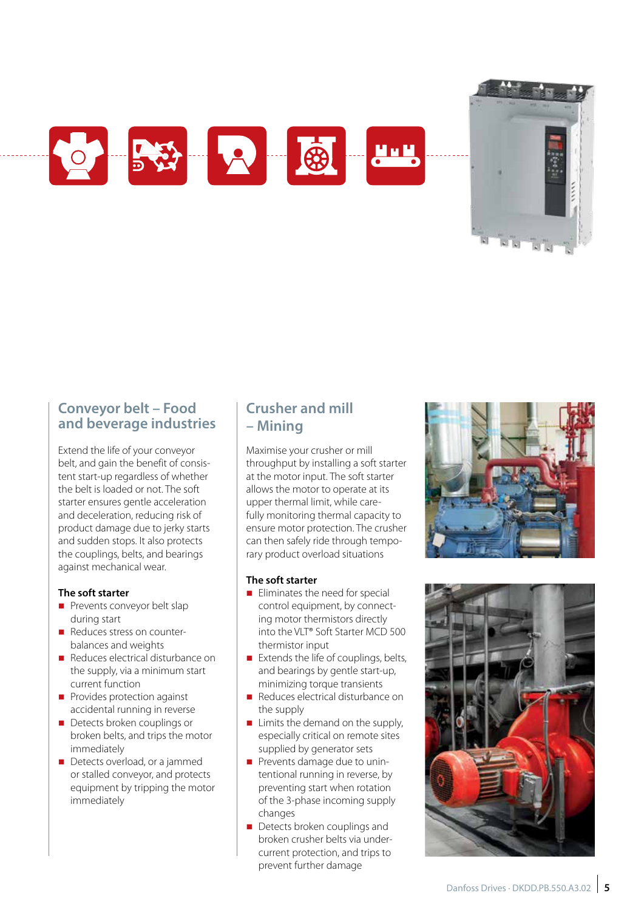



## **Conveyor belt – Food and beverage industries**

Extend the life of your conveyor belt, and gain the benefit of consis tent start-up regardless of whether the belt is loaded or not. The soft starter ensures gentle acceleration and deceleration, reducing risk of product damage due to jerky starts and sudden stops. It also protects the couplings, belts, and bearings against mechanical wear.

### **The soft starter**

- **n** Prevents conveyor belt slap during start
- Reduces stress on counterbalances and weights
- n Reduces electrical disturbance on the supply, via a minimum start current function
- $\blacksquare$  Provides protection against accidental running in reverse
- **n** Detects broken couplings or broken belts, and trips the motor immediately
- Detects overload, or a jammed or stalled conveyor, and protects equipment by tripping the motor immediately

## **Crusher and mill – Mining**

Maximise your crusher or mill throughput by installing a soft starter at the motor input. The soft starter allows the motor to operate at its upper thermal limit, while care fully monitoring thermal capacity to ensure motor protection. The crusher can then safely ride through tempo rary product overload situations

## **The soft starter**

- $\blacksquare$  Eliminates the need for special control equipment, by connect ing motor thermistors directly into the VLT® Soft Starter MCD 500 thermistor input
- $\blacksquare$  Extends the life of couplings, belts, and bearings by gentle start-up, minimizing torque transients
- Reduces electrical disturbance on the supply
- $\blacksquare$  Limits the demand on the supply, especially critical on remote sites supplied by generator sets
- **Prevents damage due to unin**tentional running in reverse, by preventing start when rotation of the 3-phase incoming supply changes
- $\blacksquare$  Detects broken couplings and broken crusher belts via under current protection, and trips to prevent further damage



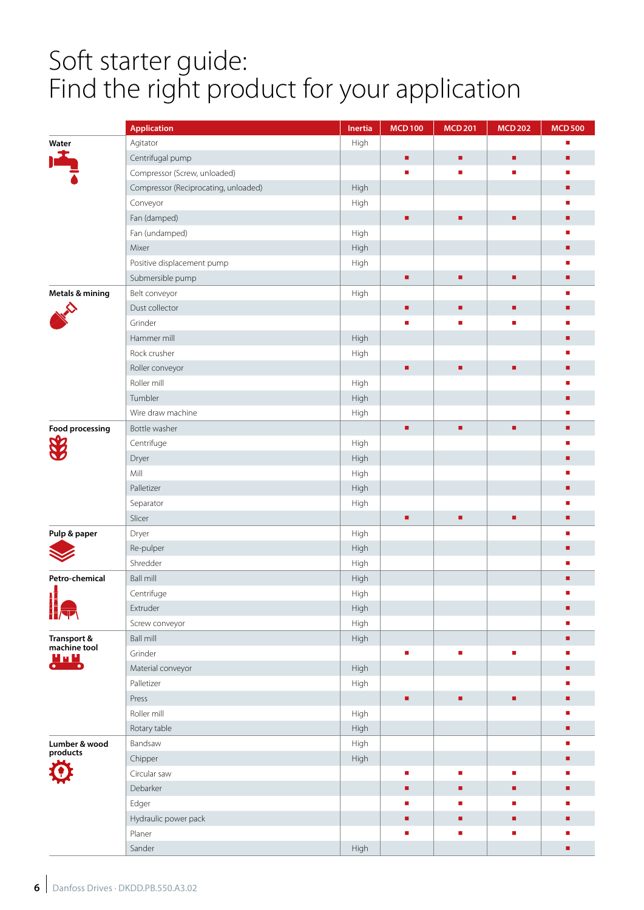# Soft starter guide: Find the right product for your application

|                             | <b>Application</b>                   | Inertia | <b>MCD100</b> | <b>MCD 201</b> | <b>MCD 202</b> | <b>MCD 500</b> |
|-----------------------------|--------------------------------------|---------|---------------|----------------|----------------|----------------|
| Water                       | Agitator                             | High    |               |                |                |                |
| ł                           | Centrifugal pump                     |         | ٠             | ٠              | ٠              | ٠              |
|                             | Compressor (Screw, unloaded)         |         | п             | ٠              |                | ш              |
|                             | Compressor (Reciprocating, unloaded) | High    |               |                |                | ٠              |
|                             | Conveyor                             | High    |               |                |                |                |
|                             | Fan (damped)                         |         | ٠             | ٠              | ٠              | ■              |
|                             | Fan (undamped)                       | High    |               |                |                |                |
|                             | Mixer                                | High    |               |                |                | ■              |
|                             | Positive displacement pump           | High    |               |                |                |                |
|                             | Submersible pump                     |         | ٠             | ٠              | ٠              | ٠              |
| Metals & mining             | Belt conveyor                        | High    |               |                |                | ш              |
|                             | Dust collector                       |         | ٠             | ٠              | ٠              |                |
|                             | Grinder                              |         | п             | п              |                |                |
|                             | Hammer mill                          | High    |               |                |                | п              |
|                             | Rock crusher                         | High    |               |                |                |                |
|                             | Roller conveyor                      |         | n,            | ٠              | ٠              | п              |
|                             | Roller mill                          | High    |               |                |                |                |
|                             | Tumbler                              | High    |               |                |                | ■              |
|                             | Wire draw machine                    | High    |               |                |                | п              |
| <b>Food processing</b>      | Bottle washer                        |         | ä,            | ٠              | ٠              | ٠              |
|                             | Centrifuge                           | High    |               |                |                |                |
|                             | Dryer                                | High    |               |                |                | ■              |
|                             | Mill                                 | High    |               |                |                |                |
|                             | Palletizer                           | High    |               |                |                | ٠              |
|                             | Separator                            | High    |               |                |                |                |
|                             | Slicer                               |         | ٠             | ٠              | ٠              | ٠              |
| Pulp & paper                | Dryer                                | High    |               |                |                | п              |
|                             | Re-pulper                            | High    |               |                |                | п              |
|                             | Shredder                             | High    |               |                |                |                |
| Petro-chemical              | <b>Ball mill</b>                     | High    |               |                |                | n,             |
|                             | Centrifuge                           | High    |               |                |                |                |
| H<br>Her                    | Extruder                             | High    |               |                |                | ٠              |
|                             | Screw conveyor                       | High    |               |                |                |                |
| Transport &<br>machine tool | <b>Ball mill</b>                     | High    |               |                |                | ٠              |
|                             | Grinder                              |         | Ē.            | ×              | ٠              |                |
| <u>uu u</u>                 | Material conveyor                    | High    |               |                |                | ٠              |
|                             | Palletizer                           | High    |               |                |                |                |
|                             | Press                                |         | ٠             | ٠              | ٠              | п              |
|                             | Roller mill                          | High    |               |                |                | π              |
|                             | Rotary table                         | High    |               |                |                | ٠              |
| Lumber & wood               | Bandsaw                              | High    |               |                |                | п              |
| products                    | Chipper                              | High    |               |                |                | ٠              |
|                             | Circular saw                         |         | r             | ٠              | п              |                |
|                             | Debarker                             |         | ٠             | ٠              | ٠              | ٠              |
|                             | Edger                                |         | ٠             | ٠              | ٠              | п              |
|                             | Hydraulic power pack                 |         | ٠             | ٠              | ٠              | ٠              |
|                             | Planer                               |         |               | ٠              | п              |                |
|                             | Sander                               | High    |               |                |                | ٠              |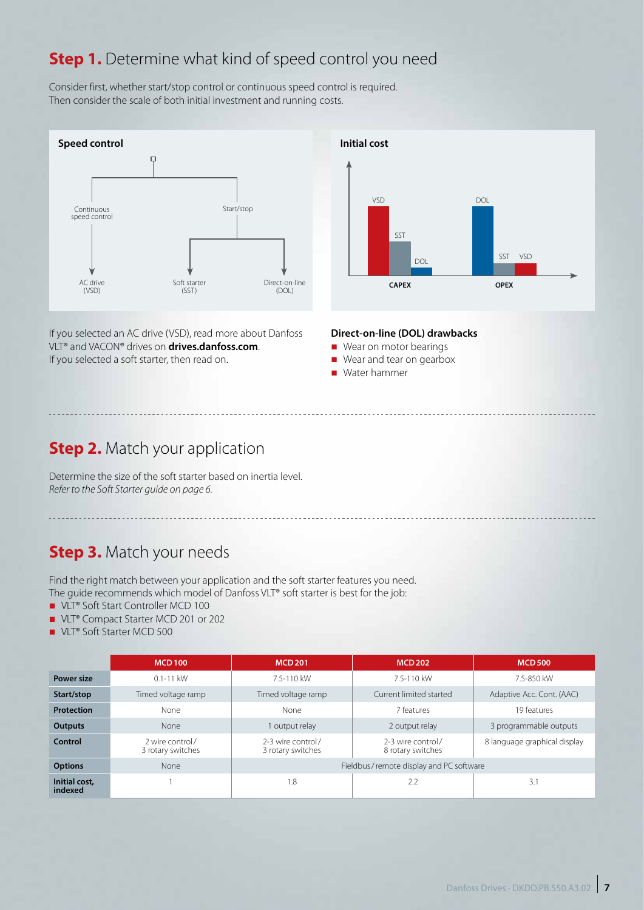## **Step 1.** Determine what kind of speed control you need

Consider first, whether start/stop control or continuous speed control is required. Then consider the scale of both initial investment and running costs.



If you selected an AC drive (VSD), read more about Danfoss VLT® and VACON® drives on **drives.danfoss.com**. If you selected a soft starter, then read on.



### **Direct-on-line (DOL) drawbacks**

- Wear on motor bearings
- Wear and tear on gearbox
- Water hammer

## **Step 2.** Match your application

Determine the size of the soft starter based on inertia level. *Refer to the Soft Starter guide on page 6.*

## **Step 3.** Match your needs

Find the right match between your application and the soft starter features you need. The guide recommends which model of Danfoss VLT® soft starter is best for the job:

- VLT® Soft Start Controller MCD 100
- VLT® Compact Starter MCD 201 or 202
- VLT® Soft Starter MCD 500

|                          | <b>MCD100</b>                        | <b>MCD 201</b>                          | <b>MCD 202</b>                         | <b>MCD500</b>                |  |
|--------------------------|--------------------------------------|-----------------------------------------|----------------------------------------|------------------------------|--|
| <b>Power size</b>        | $0.1 - 11$ kW                        | 7.5-110 kW                              | 7.5-110 kW                             | 7.5-850 kW                   |  |
| Start/stop               | Timed voltage ramp                   | Timed voltage ramp                      | Current limited started                | Adaptive Acc. Cont. (AAC)    |  |
| <b>Protection</b>        | None                                 | None                                    | 7 features                             | 19 features                  |  |
| <b>Outputs</b>           | None                                 | output relay                            | 2 output relay                         | 3 programmable outputs       |  |
| Control                  | 2 wire control/<br>3 rotary switches | 2-3 wire control/<br>3 rotary switches  | 2-3 wire control/<br>8 rotary switches | 8 language graphical display |  |
| <b>Options</b>           | None                                 | Fieldbus/remote display and PC software |                                        |                              |  |
| Initial cost,<br>indexed |                                      | 1.8                                     | 2.2                                    | 3.1                          |  |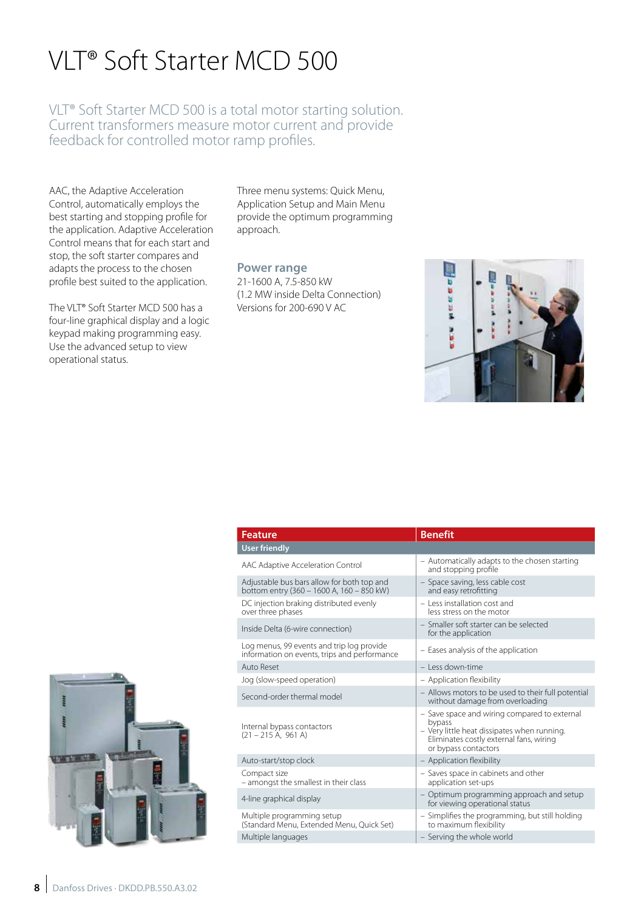# VLT® Soft Starter MCD 500

VLT® Soft Starter MCD 500 is a total motor starting solution. Current transformers measure motor current and provide feedback for controlled motor ramp profiles.

AAC, the Adaptive Acceleration Control, automatically employs the best starting and stopping profile for the application. Adaptive Acceleration Control means that for each start and stop, the soft starter compares and adapts the process to the chosen profile best suited to the application.

The VLT® Soft Starter MCD 500 has a four-line graphical display and a logic keypad making programming easy. Use the advanced setup to view operational status.

Three menu systems: Quick Menu, Application Setup and Main Menu provide the optimum programming approach.

#### **Power range**

21-1600 A, 7.5-850 kW (1.2 MW inside Delta Connection) Versions for 200-690 V AC



| <b>Feature</b>                                                                            | <b>Benefit</b>                                                                                                                                                           |
|-------------------------------------------------------------------------------------------|--------------------------------------------------------------------------------------------------------------------------------------------------------------------------|
| <b>User friendly</b>                                                                      |                                                                                                                                                                          |
| AAC Adaptive Acceleration Control                                                         | - Automatically adapts to the chosen starting<br>and stopping profile                                                                                                    |
| Adjustable bus bars allow for both top and<br>bottom entry (360 - 1600 A, 160 - 850 kW)   | - Space saving, less cable cost<br>and easy retrofitting                                                                                                                 |
| DC injection braking distributed evenly<br>over three phases                              | - Less installation cost and<br>less stress on the motor                                                                                                                 |
| Inside Delta (6-wire connection)                                                          | - Smaller soft starter can be selected<br>for the application                                                                                                            |
| Log menus, 99 events and trip log provide<br>information on events, trips and performance | - Eases analysis of the application                                                                                                                                      |
| Auto Reset                                                                                | - Less down-time                                                                                                                                                         |
| Jog (slow-speed operation)                                                                | - Application flexibility                                                                                                                                                |
| Second-order thermal model                                                                | - Allows motors to be used to their full potential<br>without damage from overloading                                                                                    |
| Internal bypass contactors<br>$(21 - 215 A, 961 A)$                                       | - Save space and wiring compared to external<br>bypass<br>- Very little heat dissipates when running.<br>Eliminates costly external fans, wiring<br>or bypass contactors |
| Auto-start/stop clock                                                                     | - Application flexibility                                                                                                                                                |
| Compact size<br>- amongst the smallest in their class                                     | - Saves space in cabinets and other<br>application set-ups                                                                                                               |
| 4-line graphical display                                                                  | - Optimum programming approach and setup<br>for viewing operational status                                                                                               |
| Multiple programming setup<br>(Standard Menu, Extended Menu, Quick Set)                   | - Simplifies the programming, but still holding<br>to maximum flexibility                                                                                                |
| Multiple languages                                                                        | - Serving the whole world                                                                                                                                                |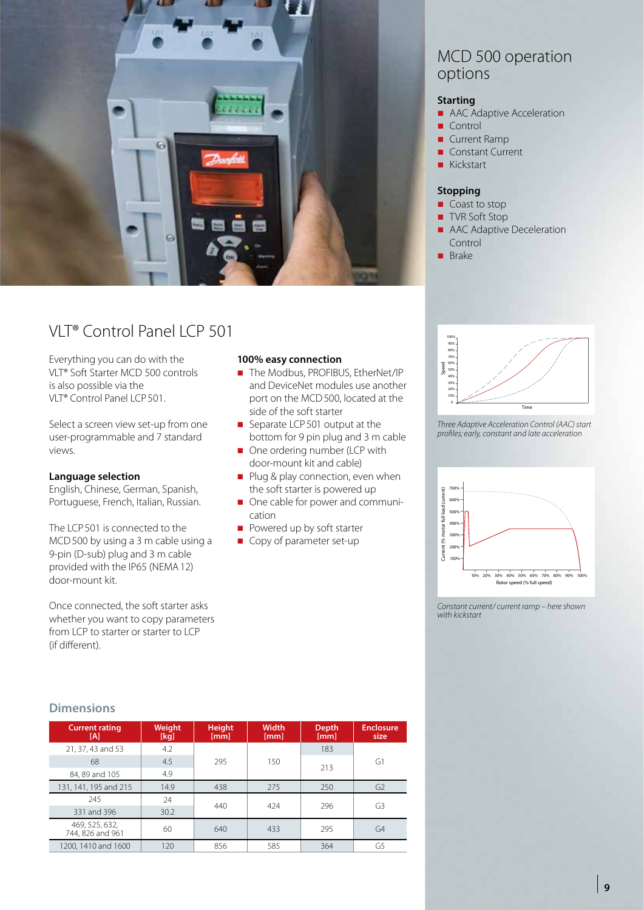

## VLT® Control Panel LCP 501

Everything you can do with the VLT® Soft Starter MCD 500 controls is also possible via the VLT® Control Panel LCP501.

Select a screen view set-up from one user-programmable and 7 standard views.

## **Language selection**

English, Chinese, German, Spanish, Portuguese, French, Italian, Russian.

The LCP501 is connected to the MCD500 by using a 3 m cable using a 9-pin (D-sub) plug and 3 m cable provided with the IP65 (NEMA12) door-mount kit.

Once connected, the soft starter asks whether you want to copy parameters from LCP to starter or starter to LCP (if different).

### **100% easy connection**

- The Modbus, PROFIBUS, EtherNet/IP and DeviceNet modules use another port on the MCD500, located at the side of the soft starter
- $\blacksquare$  Separate LCP 501 output at the bottom for 9 pin plug and 3 m cable
- One ordering number (LCP with door-mount kit and cable)
- $\blacksquare$  Plug & play connection, even when the soft starter is powered up
- $\Box$  One cable for power and communication
- Powered up by soft starter
- Copy of parameter set-up



#### **Starting**

- **n** AAC Adaptive Acceleration
- $C$ ontrol
- $\blacksquare$  Current Ramp
- Constant Current
- Kickstart

#### **Stopping**

- $\Box$  Coast to stop
- TVR Soft Stop
- **n** AAC Adaptive Deceleration Control
- $B^r$  Brake



*Three Adaptive Acceleration Control (AAC) start profiles; early, constant and late acceleration*



*Constant current/ current ramp – here shown with kickstart*

## **Dimensions**

| <b>Current rating</b><br>[A]       | Weight<br>[kg] | <b>Height</b><br>[mm] | <b>Width</b><br>[mm] | <b>Depth</b><br>[mm] | <b>Enclosure</b><br>size |  |
|------------------------------------|----------------|-----------------------|----------------------|----------------------|--------------------------|--|
| 21, 37, 43 and 53                  | 4.2            |                       |                      | 183                  |                          |  |
| 68                                 | 4.5            | 295                   | 150                  | 213                  | G1                       |  |
| 84, 89 and 105                     | 4.9            |                       |                      |                      |                          |  |
| 131, 141, 195 and 215              | 14.9           | 438                   | 275                  | 250                  | G <sub>2</sub>           |  |
| 245                                | 24             | 440                   | 424                  | 296                  | G3                       |  |
| 331 and 396                        | 30.2           |                       |                      |                      |                          |  |
| 469, 525, 632,<br>744, 826 and 961 | 60             | 640                   | 433                  | 295                  | G4                       |  |
| 1200, 1410 and 1600                | 120            | 856                   | 585                  | 364                  | G5                       |  |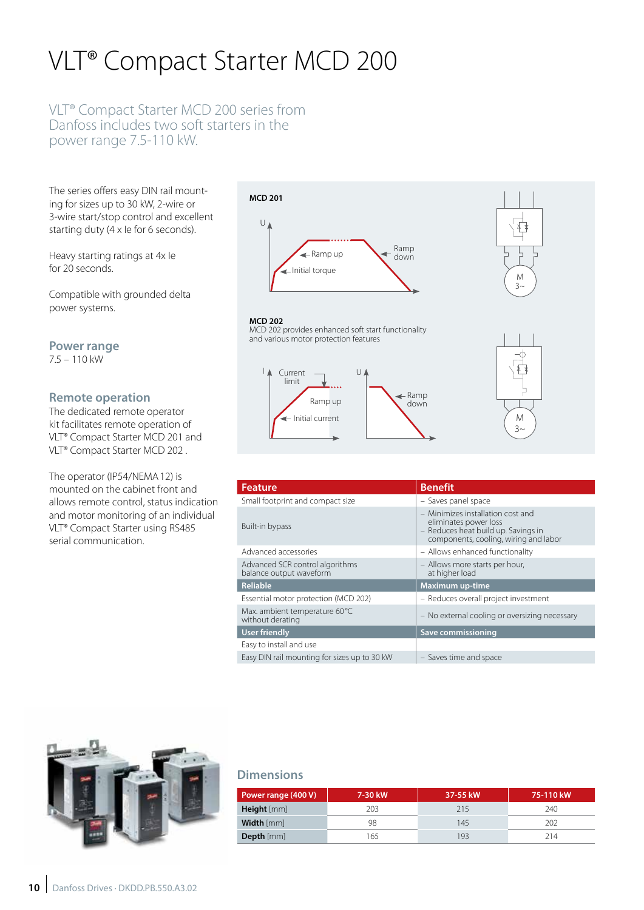# VLT® Compact Starter MCD 200

## VLT® Compact Starter MCD 200 series from Danfoss includes two soft starters in the power range 7.5-110 kW.

The series offers easy DIN rail mounting for sizes up to 30 kW, 2-wire or 3-wire start/stop control and excellent starting duty (4 x Ie for 6 seconds).

Heavy starting ratings at 4x Ie for 20 seconds.

Compatible with grounded delta power systems.

**Power range**  7.5 – 110 kW

## **Remote operation**

The dedicated remote operator kit facilitates remote operation of VLT® Compact Starter MCD 201 and VLT® Compact Starter MCD 202 .

The operator (IP54/NEMA12) is mounted on the cabinet front and allows remote control, status indication and motor monitoring of an individual VLT® Compact Starter using RS485 serial communication.



MCD 202 provides enhanced soft start functionality

 $\cup$ 

and various motor protection features

Ramp up

Initial current

Current limit

**MCD 202**

 $\mathbf{I}$ 



# M

 $\overline{a}$ 

| <b>Feature</b>                                             | <b>Benefit</b>                                                                                                                             |
|------------------------------------------------------------|--------------------------------------------------------------------------------------------------------------------------------------------|
| Small footprint and compact size                           | - Saves panel space                                                                                                                        |
| Built-in bypass                                            | - Minimizes installation cost and<br>eliminates power loss<br>- Reduces heat build up. Savings in<br>components, cooling, wiring and labor |
| Advanced accessories                                       | - Allows enhanced functionality                                                                                                            |
| Advanced SCR control algorithms<br>balance output waveform | - Allows more starts per hour,<br>at higher load                                                                                           |
| <b>Reliable</b>                                            | <b>Maximum up-time</b>                                                                                                                     |
| Essential motor protection (MCD 202)                       | - Reduces overall project investment                                                                                                       |
| Max. ambient temperature 60 °C<br>without derating         | - No external cooling or oversizing necessary                                                                                              |
| User friendly                                              | Save commissioning                                                                                                                         |
| Easy to install and use                                    |                                                                                                                                            |
| Easy DIN rail mounting for sizes up to 30 kW               | - Saves time and space                                                                                                                     |

Ramp down



## **Dimensions**

| Power range (400 V) | 7-30 kW | 37-55 kW | 75-110 kW |
|---------------------|---------|----------|-----------|
| <b>Height</b> [mm]  | 203     | 215      | 240       |
| Width [mm]          | 98      | 145      | 202       |
| <b>Depth</b> [mm]   | 165     | 193      | 214       |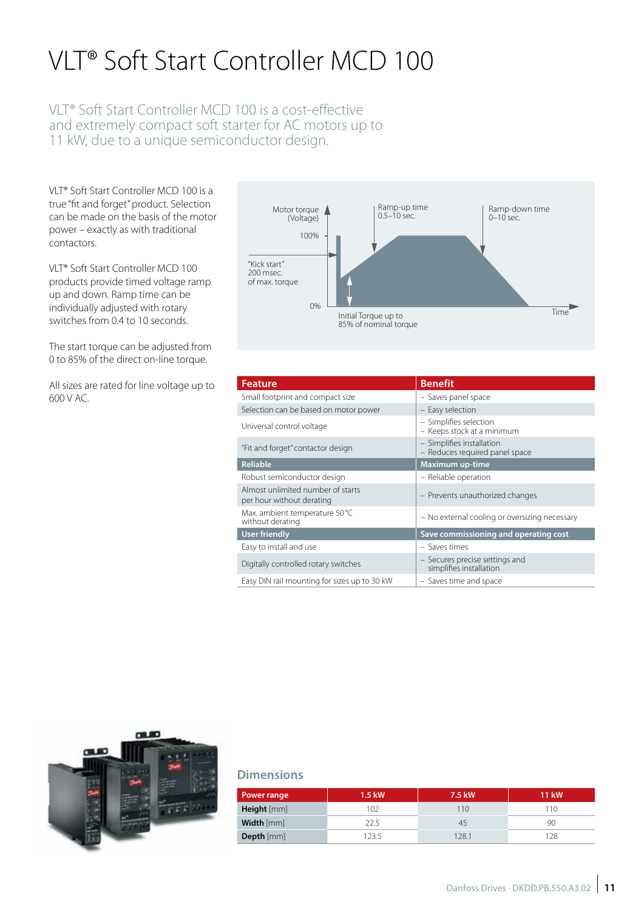# VLT® Soft Start Controller MCD 100

## VLT® Soft Start Controller MCD 100 is a cost-effective and extremely compact soft starter for AC motors up to 11 kW, due to a unique semiconductor design.

VLT® Soft Start Controller MCD 100 is a true "fit and forget" product. Selection can be made on the basis of the motor power – exactly as with traditional contactors.

VLT® Soft Start Controller MCD 100 products provide timed voltage ramp up and down. Ramp time can be individually adjusted with rotary switches from 0.4 to 10 seconds.

The start torque can be adjusted from 0 to 85% of the direct on-line torque.

All sizes are rated for line voltage up to 600 V AC.



| <b>Feature</b>                                                 | <b>Benefit</b>                                              |
|----------------------------------------------------------------|-------------------------------------------------------------|
| Small footprint and compact size                               | - Saves panel space                                         |
| Selection can be based on motor power                          | - Easy selection                                            |
| Universal control voltage                                      | - Simplifies selection<br>- Keeps stock at a minimum        |
| "Fit and forget" contactor design                              | - Simplifies installation<br>- Reduces required panel space |
| <b>Reliable</b>                                                | <b>Maximum up-time</b>                                      |
| Robust semiconductor design                                    | - Reliable operation                                        |
| Almost unlimited number of starts<br>per hour without derating | - Prevents unauthorized changes                             |
| Max. ambient temperature 50 °C<br>without derating             | - No external cooling or oversizing necessary               |
| <b>User friendly</b>                                           | Save commissioning and operating cost                       |
| Easy to install and use                                        | $-$ Saves times                                             |
| Digitally controlled rotary switches                           | - Secures precise settings and<br>simplifies installation   |
| Easy DIN rail mounting for sizes up to 30 kW                   | - Saves time and space                                      |



## **Dimensions**

| <b>Power range</b> | 1.5 kW | 7.5 kW | <b>11 kW</b> |
|--------------------|--------|--------|--------------|
| Height [mm]        | 102    | 110    | 10           |
| Width [mm]         | 22.5   | 45     | 90           |
| Depth [mm]         | 1235   | 128.1  | 128          |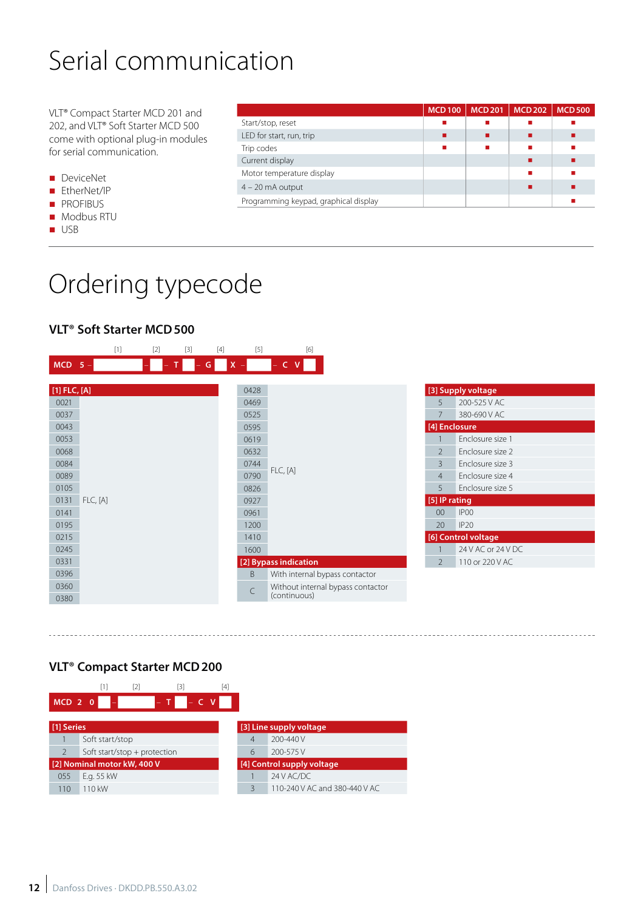# Serial communication

VLT® Compact Starter MCD 201 and 202, and VLT® Soft Starter MCD 500 come with optional plug-in modules for serial communication.

- **n** DeviceNet
- EtherNet/IP
- **n** PROFIBUS
- **n** Modbus RTU
- n USB

|                                       | <b>MCD100</b> | <b>MCD201</b> | <b>MCD 202</b> | <b>MCD500</b> |
|---------------------------------------|---------------|---------------|----------------|---------------|
| Start/stop, reset                     |               |               |                |               |
| LED for start, run, trip              |               |               |                |               |
| Trip codes                            |               |               |                |               |
| Current display                       |               |               |                |               |
| Motor temperature display             |               |               |                |               |
| $4 - 20$ mA output                    |               |               |                |               |
| Programming keypad, graphical display |               |               |                |               |

# Ordering typecode

## **VLT® Soft Starter MCD500**

|                  |  | $[1]$    | $[2]$ | $[3]$ | $[4]$ | $[5]$     | [6]                               |  |
|------------------|--|----------|-------|-------|-------|-----------|-----------------------------------|--|
| $MCD$ 5 -        |  |          |       | T     | G     | $X =$     | $-$ C $V$                         |  |
|                  |  |          |       |       |       |           |                                   |  |
| $[1]$ FLC, $[A]$ |  |          |       |       |       | 0428      |                                   |  |
| 0021             |  |          |       |       |       | 0469      |                                   |  |
| 0037             |  |          |       |       |       | 0525      |                                   |  |
| 0043             |  |          |       |       |       | 0595      |                                   |  |
| 0053             |  |          |       |       |       | 0619      |                                   |  |
| 0068             |  |          |       |       |       | 0632      |                                   |  |
| 0084             |  |          |       |       |       | 0744      |                                   |  |
| 0089             |  |          |       |       |       | 0790      | <b>FLC, [A]</b>                   |  |
| 0105             |  |          |       |       |       | 0826      |                                   |  |
| 0131             |  | FLC, [A] |       |       |       |           |                                   |  |
| 0141             |  |          |       |       |       | 0961      |                                   |  |
| 0195             |  |          |       |       |       | 1200      |                                   |  |
| 0215             |  |          |       |       |       | 1410      |                                   |  |
| 0245             |  |          |       |       |       | 1600      |                                   |  |
| 0331             |  |          |       |       |       |           | [2] Bypass indication             |  |
| 0396             |  |          |       |       |       | B         | With internal bypass contactor    |  |
| 0360             |  |          |       |       |       | $\subset$ | Without internal bypass contactor |  |
| 0380             |  |          |       |       |       |           | (continuous)                      |  |

|                          | [3] Supply voltage  |
|--------------------------|---------------------|
| 5                        | 200-525 V AC        |
| 7                        | 380-690 V AC        |
| [4] Enclosure            |                     |
| 1                        | Enclosure size 1    |
| $\overline{\phantom{0}}$ | Enclosure size 2    |
| 3                        | Enclosure size 3    |
| $\overline{4}$           | Enclosure size 4    |
| 5                        | Enclosure size 5    |
| [5] IP rating            |                     |
| 00                       | IP <sub>00</sub>    |
| 20                       | IP <sub>20</sub>    |
|                          | [6] Control voltage |
|                          | 24 V AC or 24 V DC  |
| $\mathcal{P}$            | 110 or 220 V AC     |
|                          |                     |

## **VLT® Compact Starter MCD200**

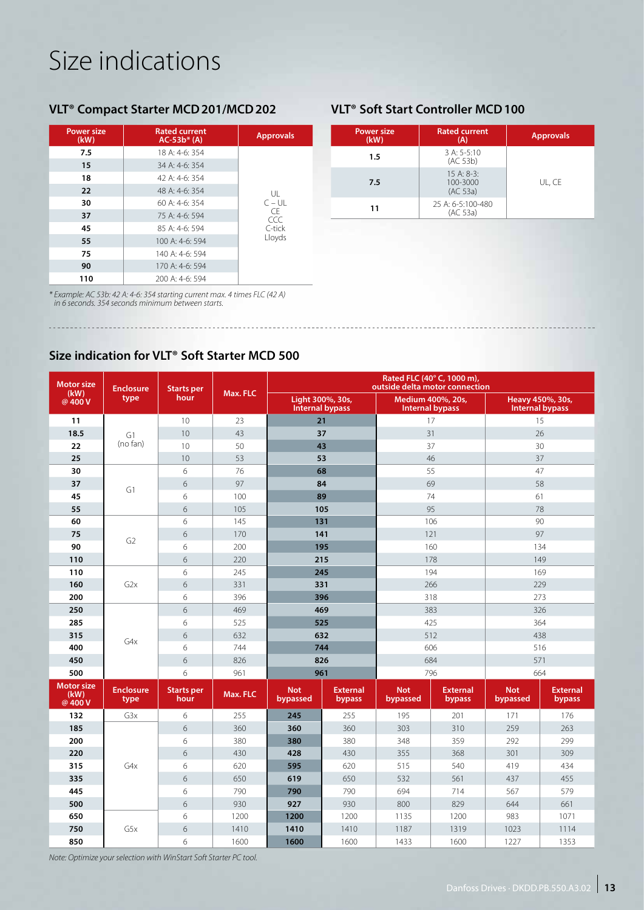# Size indications

## **VLT® Compact Starter MCD201/MCD202 VLT® Soft Start Controller MCD100**

| <b>Power size</b><br>(kW) | <b>Rated current</b><br>$AC-53b* (A)$ | <b>Approvals</b> |
|---------------------------|---------------------------------------|------------------|
| 7.5                       | 18 A: 4-6: 354                        |                  |
| 15                        | $34$ A: 4-6: 354                      |                  |
| 18                        | 42 A: 4-6: 354                        |                  |
| 22                        | 48 A: 4-6: 354                        | UL               |
| 30                        | $60A:4-6:354$                         | $C - UL$         |
| 37                        | 75 A: 4-6: 594                        | <b>CF</b><br>CCC |
| 45                        | 85 A: 4-6: 594                        | C-tick           |
| 55                        | 100 A: 4-6: 594                       | Lloyds           |
| 75                        | 140 A: 4-6: 594                       |                  |
| 90                        | 170 A: 4-6: 594                       |                  |
| 110                       | $200 \text{ A}$ : 4-6: 594            |                  |

*\* Example: AC 53b: 42 A: 4-6: 354 starting current max. 4 times FLC (42 A) in 6 seconds. 354 seconds minimum between starts.*

| <b>Power size</b><br>(kW) | <b>Rated current</b><br>(A)                   | <b>Approvals</b> |
|---------------------------|-----------------------------------------------|------------------|
| 1.5                       | $3 A: 5-5:10$<br>(AC 53b)                     |                  |
| 7.5                       | $15 \text{ A}$ : 8-3:<br>100-3000<br>(AC 53a) | UL, CE           |
| 11                        | 25 A: 6-5:100-480<br>(AC 53a)                 |                  |

## **Size indication for VLT® Soft Starter MCD 500**

| <b>Motor size</b>                  | <b>Enclosure</b><br>type | <b>Starts per</b><br>hour | Max. FLC | Rated FLC (40° C, 1000 m),<br>outside delta motor connection |                                            |                        |                           |                        |                           |  |
|------------------------------------|--------------------------|---------------------------|----------|--------------------------------------------------------------|--------------------------------------------|------------------------|---------------------------|------------------------|---------------------------|--|
| (kW)<br>@400V                      |                          |                           |          |                                                              | Light 300%, 30s,<br><b>Internal bypass</b> | <b>Internal bypass</b> | Medium 400%, 20s,         | Heavy 450%, 30s,       | <b>Internal bypass</b>    |  |
| 11                                 |                          | 10                        | 23       | 21                                                           |                                            |                        | 17                        |                        | 15                        |  |
| 18.5                               | G1                       | 10                        | 43       |                                                              | 37                                         | 31                     |                           | 26                     |                           |  |
| 22                                 | (no fan)                 | 10                        | 50       | 43                                                           |                                            | 37                     |                           | 30                     |                           |  |
| 25                                 |                          | 10                        | 53       | 53                                                           |                                            | 46                     |                           | 37                     |                           |  |
| 30                                 |                          | 6                         | 76       | 68                                                           |                                            | 55                     |                           | 47                     |                           |  |
| 37                                 | G1                       | 6                         | 97       | 84                                                           |                                            | 69                     |                           | 58                     |                           |  |
| 45                                 |                          | 6                         | 100      | 89                                                           |                                            | 74                     |                           | 61                     |                           |  |
| 55                                 |                          | 6                         | 105      | 105                                                          |                                            | 95                     |                           | 78                     |                           |  |
| 60                                 |                          | 6                         | 145      |                                                              | 131                                        | 106                    |                           |                        | 90                        |  |
| 75                                 | G <sub>2</sub>           | 6                         | 170      | 141                                                          |                                            | 121                    |                           | 97                     |                           |  |
| 90                                 |                          | 6                         | 200      | 195                                                          |                                            | 160                    |                           | 134                    |                           |  |
| 110                                |                          | 6                         | 220      | 215                                                          |                                            | 178                    |                           | 149                    |                           |  |
| 110                                |                          | 6                         | 245      | 245                                                          |                                            | 194                    |                           | 169                    |                           |  |
| 160                                | G2x                      | 6                         | 331      |                                                              | 331                                        |                        | 266                       |                        | 229                       |  |
| 200                                |                          | 6                         | 396      |                                                              | 396                                        |                        | 318                       |                        | 273                       |  |
| 250                                | G4x                      | 6                         | 469      |                                                              | 469                                        |                        | 383                       |                        | 326                       |  |
| 285                                |                          | 6                         | 525      |                                                              | 525                                        | 425                    |                           |                        | 364                       |  |
| 315                                |                          | 6                         | 632      |                                                              | 632                                        | 512                    |                           | 438                    |                           |  |
| 400                                |                          | 6                         | 744      | 744                                                          |                                            | 606                    |                           |                        | 516                       |  |
| 450                                |                          | 6                         | 826      | 826                                                          |                                            | 684                    |                           | 571                    |                           |  |
| 500                                |                          | 6                         | 961      | 961                                                          |                                            | 796                    |                           | 664                    |                           |  |
| <b>Motor size</b><br>(kW)<br>@400V | <b>Enclosure</b><br>type | <b>Starts per</b><br>hour | Max. FLC | <b>Not</b><br>bypassed                                       | <b>External</b><br>bypass                  | <b>Not</b><br>bypassed | <b>External</b><br>bypass | <b>Not</b><br>bypassed | <b>External</b><br>bypass |  |
| 132                                | G3x                      | 6                         | 255      | 245                                                          | 255                                        | 195                    | 201                       | 171                    | 176                       |  |
| 185                                | G4x                      | 6                         | 360      | 360                                                          | 360                                        | 303                    | 310                       | 259                    | 263                       |  |
| 200                                |                          | 6                         | 380      | 380                                                          | 380                                        | 348                    | 359                       | 292                    | 299                       |  |
| 220                                |                          | 6                         | 430      | 428                                                          | 430                                        | 355                    | 368                       | 301                    | 309                       |  |
| 315                                |                          | 6                         | 620      | 595                                                          | 620                                        | 515                    | 540                       | 419                    | 434                       |  |
| 335                                |                          | 6                         | 650      | 619                                                          | 650                                        | 532                    | 561                       | 437                    | 455                       |  |
| 445                                |                          | 6                         | 790      | 790                                                          | 790                                        | 694                    | 714                       | 567                    | 579                       |  |
| 500                                |                          | 6                         | 930      | 927                                                          | 930                                        | 800                    | 829                       | 644                    | 661                       |  |
| 650                                |                          | 6                         | 1200     | 1200                                                         | 1200                                       | 1135                   | 1200                      | 983                    | 1071                      |  |
| 750                                | G5x                      | 6                         | 1410     | 1410                                                         | 1410                                       | 1187                   | 1319                      | 1023                   | 1114                      |  |
| 850                                |                          | 6                         | 1600     | 1600                                                         | 1600                                       | 1433                   | 1600                      | 1227                   | 1353                      |  |

*Note: Optimize your selection with WinStart Soft Starter PC tool.*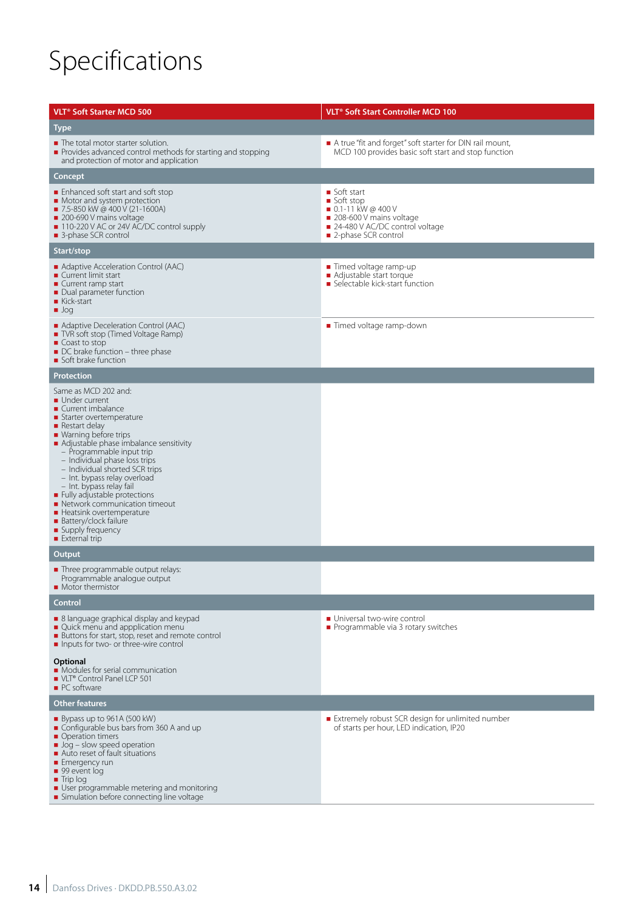# Specifications

| <b>VLT<sup>®</sup> Soft Starter MCD 500</b>                                                                                                                                                                                                                                                                                                                                                                                                                                                                                                | <b>VLT<sup>®</sup> Soft Start Controller MCD 100</b>                                                                                                  |
|--------------------------------------------------------------------------------------------------------------------------------------------------------------------------------------------------------------------------------------------------------------------------------------------------------------------------------------------------------------------------------------------------------------------------------------------------------------------------------------------------------------------------------------------|-------------------------------------------------------------------------------------------------------------------------------------------------------|
| <b>Type</b>                                                                                                                                                                                                                                                                                                                                                                                                                                                                                                                                |                                                                                                                                                       |
| • The total motor starter solution.<br>Provides advanced control methods for starting and stopping<br>and protection of motor and application                                                                                                                                                                                                                                                                                                                                                                                              | A true "fit and forget" soft starter for DIN rail mount,<br>MCD 100 provides basic soft start and stop function                                       |
| Concept                                                                                                                                                                                                                                                                                                                                                                                                                                                                                                                                    |                                                                                                                                                       |
| ■ Enhanced soft start and soft stop<br>• Motor and system protection<br>■ 7.5-850 kW @ 400 V (21-1600A)<br>200-690 V mains voltage<br>■ 110-220 V AC or 24V AC/DC control supply<br>■ 3-phase SCR control                                                                                                                                                                                                                                                                                                                                  | ■ Soft start<br>Soft stop<br>$\blacksquare$ 0.1-11 kW @ 400 V<br>208-600 V mains voltage<br>■ 24-480 V AC/DC control voltage<br>■ 2-phase SCR control |
| Start/stop                                                                                                                                                                                                                                                                                                                                                                                                                                                                                                                                 |                                                                                                                                                       |
| • Adaptive Acceleration Control (AAC)<br>■ Current limit start<br>Current ramp start<br>• Dual parameter function<br>$\blacksquare$ Kick-start<br>$\blacksquare$ Jog                                                                                                                                                                                                                                                                                                                                                                       | ■ Timed voltage ramp-up<br>■ Adjustable start torque<br>Selectable kick-start function                                                                |
| Adaptive Deceleration Control (AAC)<br>TVR soft stop (Timed Voltage Ramp)<br>$\blacksquare$ Coast to stop<br>• DC brake function – three phase<br>Soft brake function                                                                                                                                                                                                                                                                                                                                                                      | ■ Timed voltage ramp-down                                                                                                                             |
| <b>Protection</b>                                                                                                                                                                                                                                                                                                                                                                                                                                                                                                                          |                                                                                                                                                       |
| Same as MCD 202 and:<br>Under current<br>Current imbalance<br>Starter overtemperature<br>$\blacksquare$ Restart delay<br>• Warning before trips<br>Adjustable phase imbalance sensitivity<br>- Programmable input trip<br>- Individual phase loss trips<br>- Individual shorted SCR trips<br>- Int. bypass relay overload<br>- Int. bypass relay fail<br>Fully adjustable protections<br>• Network communication timeout<br>Heatsink overtemperature<br><b>Battery/clock failure</b><br>■ Supply frequency<br>$\blacksquare$ External trip |                                                                                                                                                       |
| Output                                                                                                                                                                                                                                                                                                                                                                                                                                                                                                                                     |                                                                                                                                                       |
| Three programmable output relays:<br>Programmable analogue output<br>• Motor thermistor                                                                                                                                                                                                                                                                                                                                                                                                                                                    |                                                                                                                                                       |
| Control                                                                                                                                                                                                                                                                                                                                                                                                                                                                                                                                    |                                                                                                                                                       |
| • 8 language graphical display and keypad<br>Quick menu and appplication menu<br>Buttons for start, stop, reset and remote control<br>Inputs for two- or three-wire control                                                                                                                                                                                                                                                                                                                                                                | Universal two-wire control<br>Programmable via 3 rotary switches                                                                                      |
| Optional<br>• Modules for serial communication<br>■ VLT® Control Panel LCP 501<br>$\blacksquare$ PC software                                                                                                                                                                                                                                                                                                                                                                                                                               |                                                                                                                                                       |
| <b>Other features</b>                                                                                                                                                                                                                                                                                                                                                                                                                                                                                                                      |                                                                                                                                                       |
| $\blacksquare$ Bypass up to 961A (500 kW)<br>• Configurable bus bars from 360 A and up<br>• Operation timers<br>Jog - slow speed operation<br>Auto reset of fault situations<br>■ Emergency run<br>■ 99 event log<br>$\blacksquare$ Trip log<br>User programmable metering and monitoring<br>Simulation before connecting line voltage                                                                                                                                                                                                     | Extremely robust SCR design for unlimited number<br>of starts per hour, LED indication, IP20                                                          |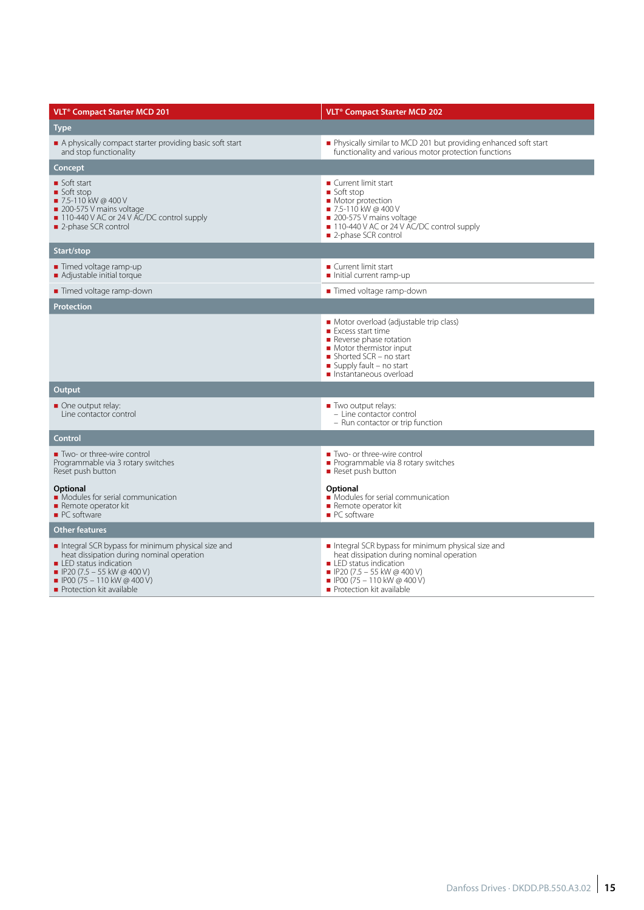| <b>VLT<sup>®</sup> Compact Starter MCD 201</b>                                                                                                                                                                                                  | <b>VLT<sup>®</sup></b> Compact Starter MCD 202                                                                                                                                                                                                  |  |  |  |  |  |
|-------------------------------------------------------------------------------------------------------------------------------------------------------------------------------------------------------------------------------------------------|-------------------------------------------------------------------------------------------------------------------------------------------------------------------------------------------------------------------------------------------------|--|--|--|--|--|
| Type                                                                                                                                                                                                                                            |                                                                                                                                                                                                                                                 |  |  |  |  |  |
| A physically compact starter providing basic soft start<br>and stop functionality                                                                                                                                                               | Physically similar to MCD 201 but providing enhanced soft start<br>functionality and various motor protection functions                                                                                                                         |  |  |  |  |  |
| Concept                                                                                                                                                                                                                                         |                                                                                                                                                                                                                                                 |  |  |  |  |  |
| Soft start<br>■ Soft stop<br>■ 7.5-110 kW @ 400 V<br>200-575 V mains voltage<br>110-440 V AC or 24 V AC/DC control supply<br>2-phase SCR control                                                                                                | ■ Current limit start<br>■ Soft stop<br>Motor protection<br>■ 7.5-110 kW @ 400 V<br>200-575 V mains voltage<br>■ 110-440 V AC or 24 V AC/DC control supply<br>■ 2-phase SCR control                                                             |  |  |  |  |  |
| Start/stop                                                                                                                                                                                                                                      |                                                                                                                                                                                                                                                 |  |  |  |  |  |
| ■ Timed voltage ramp-up<br>Adjustable initial torque                                                                                                                                                                                            | ■ Current limit start<br>Initial current ramp-up                                                                                                                                                                                                |  |  |  |  |  |
| ■ Timed voltage ramp-down                                                                                                                                                                                                                       | ■ Timed voltage ramp-down                                                                                                                                                                                                                       |  |  |  |  |  |
| Protection                                                                                                                                                                                                                                      |                                                                                                                                                                                                                                                 |  |  |  |  |  |
|                                                                                                                                                                                                                                                 | Motor overload (adjustable trip class)<br>■ Excess start time<br>Reverse phase rotation<br>Motor thermistor input<br>Shorted SCR - no start<br>Supply fault $-$ no start<br>Instantaneous overload                                              |  |  |  |  |  |
| Output                                                                                                                                                                                                                                          |                                                                                                                                                                                                                                                 |  |  |  |  |  |
| One output relay:<br>Line contactor control                                                                                                                                                                                                     | Two output relays:<br>- Line contactor control<br>- Run contactor or trip function                                                                                                                                                              |  |  |  |  |  |
| Control                                                                                                                                                                                                                                         |                                                                                                                                                                                                                                                 |  |  |  |  |  |
| Two- or three-wire control<br>Programmable via 3 rotary switches<br>Reset push button<br><b>Optional</b><br>• Modules for serial communication                                                                                                  | Two- or three-wire control<br>Programmable via 8 rotary switches<br>Reset push button<br>Optional<br>• Modules for serial communication                                                                                                         |  |  |  |  |  |
| Remote operator kit<br>• PC software                                                                                                                                                                                                            | Remote operator kit<br>• PC software                                                                                                                                                                                                            |  |  |  |  |  |
| <b>Other features</b>                                                                                                                                                                                                                           |                                                                                                                                                                                                                                                 |  |  |  |  |  |
| Integral SCR bypass for minimum physical size and<br>heat dissipation during nominal operation<br>■ LED status indication<br>$\blacksquare$ IP20 (7.5 - 55 kW @ 400 V)<br>$\blacksquare$ IP00 (75 - 110 kW @ 400 V)<br>Protection kit available | Integral SCR bypass for minimum physical size and<br>heat dissipation during nominal operation<br>■ LED status indication<br>$\blacksquare$ IP20 (7.5 - 55 kW @ 400 V)<br>$\blacksquare$ IP00 (75 - 110 kW @ 400 V)<br>Protection kit available |  |  |  |  |  |